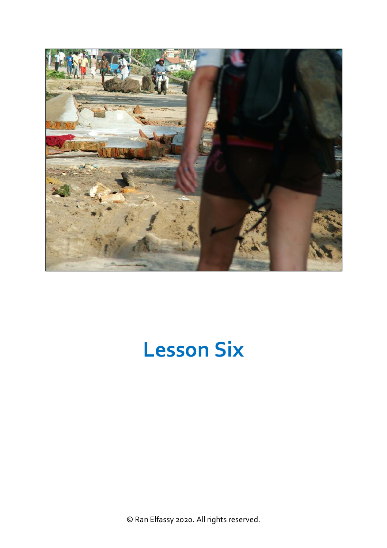

© Ran Elfassy 2020. All rights reserved.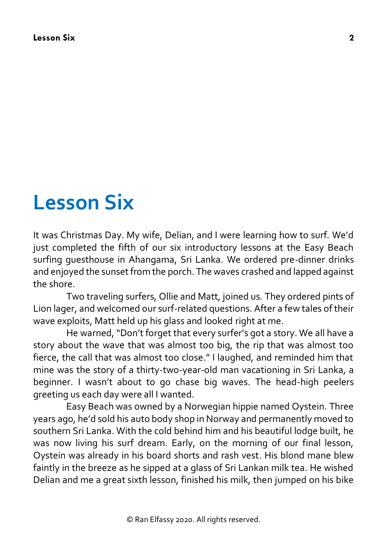# **Lesson Six**

It was Christmas Day. My wife, Delian, and I were learning how to surf. We'd just completed the fifth of our six introductory lessons at the Easy Beach surfing guesthouse in Ahangama, Sri Lanka. We ordered pre-dinner drinks and enjoyed the sunset from the porch. The waves crashed and lapped against the shore.

Two traveling surfers, Ollie and Matt, joined us. They ordered pints of Lion lager, and welcomed our surf-related questions. After a few tales of their wave exploits, Matt held up his glass and looked right at me.

He warned, "Don't forget that every surfer's got a story. We all have a story about the wave that was almost too big, the rip that was almost too fierce, the call that was almost too close." I laughed, and reminded him that mine was the story of a thirty-two-year-old man vacationing in Sri Lanka, a beginner. I wasn't about to go chase big waves. The head-high peelers greeting us each day were all I wanted.

Easy Beach was owned by a Norwegian hippie named Oystein. Three years ago, he'd sold his auto body shop in Norway and permanently moved to southern Sri Lanka. With the cold behind him and his beautiful lodge built, he was now living his surf dream. Early, on the morning of our final lesson, Oystein was already in his board shorts and rash vest. His blond mane blew faintly in the breeze as he sipped at a glass of Sri Lankan milk tea. He wished Delian and me a great sixth lesson, finished his milk, then jumped on his bike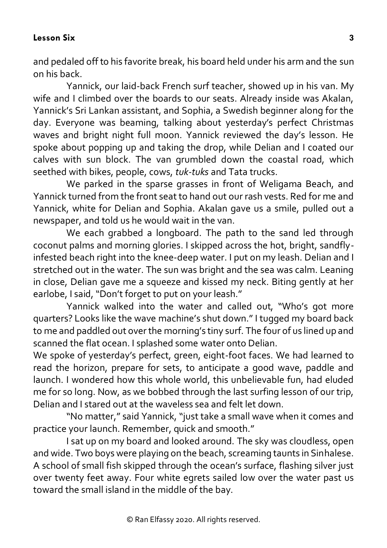and pedaled off to his favorite break, his board held under his arm and the sun on his back.

Yannick, our laid-back French surf teacher, showed up in his van. My wife and I climbed over the boards to our seats. Already inside was Akalan, Yannick's Sri Lankan assistant, and Sophia, a Swedish beginner along for the day. Everyone was beaming, talking about yesterday's perfect Christmas waves and bright night full moon. Yannick reviewed the day's lesson. He spoke about popping up and taking the drop, while Delian and I coated our calves with sun block. The van grumbled down the coastal road, which seethed with bikes, people, cows, *tuk-tuks* and Tata trucks.

We parked in the sparse grasses in front of Weligama Beach, and Yannick turned from the front seat to hand out our rash vests. Red for me and Yannick, white for Delian and Sophia. Akalan gave us a smile, pulled out a newspaper, and told us he would wait in the van.

We each grabbed a longboard. The path to the sand led through coconut palms and morning glories. I skipped across the hot, bright, sandflyinfested beach right into the knee-deep water. I put on my leash. Delian and I stretched out in the water. The sun was bright and the sea was calm. Leaning in close, Delian gave me a squeeze and kissed my neck. Biting gently at her earlobe, I said, "Don't forget to put on your leash."

Yannick walked into the water and called out, "Who's got more quarters? Looks like the wave machine's shut down." I tugged my board back to me and paddled out over the morning's tiny surf. The four of us lined up and scanned the flat ocean. I splashed some water onto Delian.

We spoke of yesterday's perfect, green, eight-foot faces. We had learned to read the horizon, prepare for sets, to anticipate a good wave, paddle and launch. I wondered how this whole world, this unbelievable fun, had eluded me for so long. Now, as we bobbed through the last surfing lesson of our trip, Delian and I stared out at the waveless sea and felt let down.

"No matter," said Yannick, "just take a small wave when it comes and practice your launch. Remember, quick and smooth."

I sat up on my board and looked around. The sky was cloudless, open and wide. Two boys were playing on the beach, screaming taunts in Sinhalese. A school of small fish skipped through the ocean's surface, flashing silver just over twenty feet away. Four white egrets sailed low over the water past us toward the small island in the middle of the bay.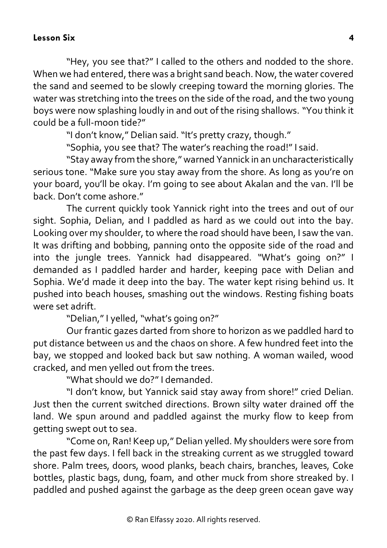"Hey, you see that?" I called to the others and nodded to the shore. When we had entered, there was a bright sand beach. Now, the water covered the sand and seemed to be slowly creeping toward the morning glories. The water was stretching into the trees on the side of the road, and the two young boys were now splashing loudly in and out of the rising shallows. "You think it could be a full-moon tide?"

"I don't know," Delian said. "It's pretty crazy, though."

"Sophia, you see that? The water's reaching the road!" I said.

"Stay away from the shore," warned Yannick in an uncharacteristically serious tone. "Make sure you stay away from the shore. As long as you're on your board, you'll be okay. I'm going to see about Akalan and the van. I'll be back. Don't come ashore."

The current quickly took Yannick right into the trees and out of our sight. Sophia, Delian, and I paddled as hard as we could out into the bay. Looking over my shoulder, to where the road should have been, I saw the van. It was drifting and bobbing, panning onto the opposite side of the road and into the jungle trees. Yannick had disappeared. "What's going on?" I demanded as I paddled harder and harder, keeping pace with Delian and Sophia. We'd made it deep into the bay. The water kept rising behind us. It pushed into beach houses, smashing out the windows. Resting fishing boats were set adrift.

"Delian," I yelled, "what's going on?"

Our frantic gazes darted from shore to horizon as we paddled hard to put distance between us and the chaos on shore. A few hundred feet into the bay, we stopped and looked back but saw nothing. A woman wailed, wood cracked, and men yelled out from the trees.

"What should we do?" I demanded.

"I don't know, but Yannick said stay away from shore!" cried Delian. Just then the current switched directions. Brown silty water drained off the land. We spun around and paddled against the murky flow to keep from getting swept out to sea.

"Come on, Ran! Keep up," Delian yelled. My shoulders were sore from the past few days. I fell back in the streaking current as we struggled toward shore. Palm trees, doors, wood planks, beach chairs, branches, leaves, Coke bottles, plastic bags, dung, foam, and other muck from shore streaked by. I paddled and pushed against the garbage as the deep green ocean gave way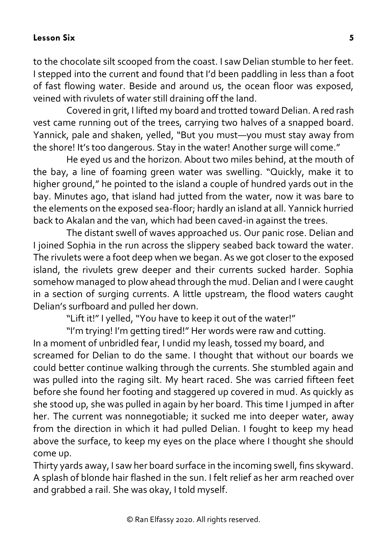to the chocolate silt scooped from the coast. I saw Delian stumble to her feet. I stepped into the current and found that I'd been paddling in less than a foot of fast flowing water. Beside and around us, the ocean floor was exposed, veined with rivulets of water still draining off the land.

Covered in grit, I lifted my board and trotted toward Delian. A red rash vest came running out of the trees, carrying two halves of a snapped board. Yannick, pale and shaken, yelled, "But you must—you must stay away from the shore! It's too dangerous. Stay in the water! Another surge will come."

He eyed us and the horizon. About two miles behind, at the mouth of the bay, a line of foaming green water was swelling. "Quickly, make it to higher ground," he pointed to the island a couple of hundred yards out in the bay. Minutes ago, that island had jutted from the water, now it was bare to the elements on the exposed sea-floor; hardly an island at all. Yannick hurried back to Akalan and the van, which had been caved-in against the trees.

The distant swell of waves approached us. Our panic rose. Delian and I joined Sophia in the run across the slippery seabed back toward the water. The rivulets were a foot deep when we began. As we got closer to the exposed island, the rivulets grew deeper and their currents sucked harder. Sophia somehow managed to plow ahead through the mud. Delian and I were caught in a section of surging currents. A little upstream, the flood waters caught Delian's surfboard and pulled her down.

"Lift it!" I yelled, "You have to keep it out of the water!"

"I'm trying! I'm getting tired!" Her words were raw and cutting. In a moment of unbridled fear, I undid my leash, tossed my board, and screamed for Delian to do the same. I thought that without our boards we could better continue walking through the currents. She stumbled again and was pulled into the raging silt. My heart raced. She was carried fifteen feet before she found her footing and staggered up covered in mud. As quickly as she stood up, she was pulled in again by her board. This time I jumped in after her. The current was nonnegotiable; it sucked me into deeper water, away from the direction in which it had pulled Delian. I fought to keep my head above the surface, to keep my eyes on the place where I thought she should come up.

Thirty yards away, I saw her board surface in the incoming swell, fins skyward. A splash of blonde hair flashed in the sun. I felt relief as her arm reached over and grabbed a rail. She was okay, I told myself.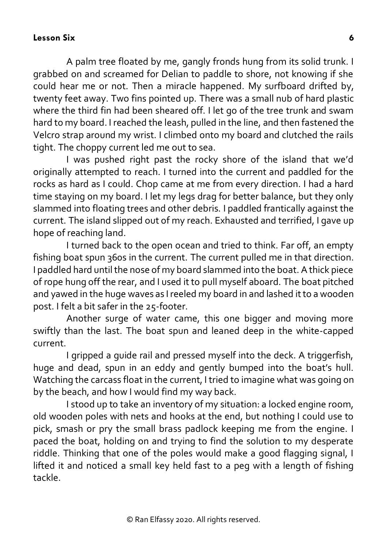A palm tree floated by me, gangly fronds hung from its solid trunk. I grabbed on and screamed for Delian to paddle to shore, not knowing if she could hear me or not. Then a miracle happened. My surfboard drifted by, twenty feet away. Two fins pointed up. There was a small nub of hard plastic where the third fin had been sheared off. I let go of the tree trunk and swam hard to my board. I reached the leash, pulled in the line, and then fastened the Velcro strap around my wrist. I climbed onto my board and clutched the rails tight. The choppy current led me out to sea.

I was pushed right past the rocky shore of the island that we'd originally attempted to reach. I turned into the current and paddled for the rocks as hard as I could. Chop came at me from every direction. I had a hard time staying on my board. I let my legs drag for better balance, but they only slammed into floating trees and other debris. I paddled frantically against the current. The island slipped out of my reach. Exhausted and terrified, I gave up hope of reaching land.

I turned back to the open ocean and tried to think. Far off, an empty fishing boat spun 360s in the current. The current pulled me in that direction. I paddled hard until the nose of my board slammed into the boat. A thick piece of rope hung off the rear, and I used it to pull myself aboard. The boat pitched and yawed in the huge waves as I reeled my board in and lashed it to a wooden post. I felt a bit safer in the 25-footer.

Another surge of water came, this one bigger and moving more swiftly than the last. The boat spun and leaned deep in the white-capped current.

I gripped a guide rail and pressed myself into the deck. A triggerfish, huge and dead, spun in an eddy and gently bumped into the boat's hull. Watching the carcass float in the current, I tried to imagine what was going on by the beach, and how I would find my way back.

I stood up to take an inventory of my situation: a locked engine room, old wooden poles with nets and hooks at the end, but nothing I could use to pick, smash or pry the small brass padlock keeping me from the engine. I paced the boat, holding on and trying to find the solution to my desperate riddle. Thinking that one of the poles would make a good flagging signal, I lifted it and noticed a small key held fast to a peg with a length of fishing tackle.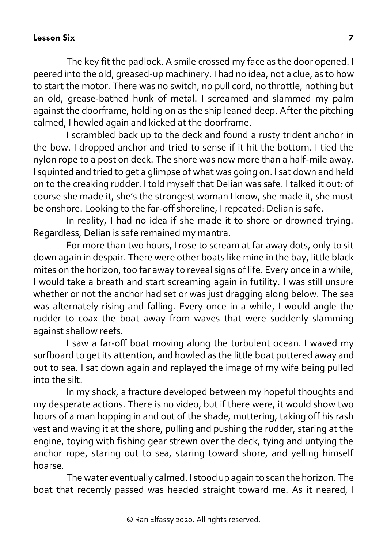The key fit the padlock. A smile crossed my face as the door opened. I peered into the old, greased-up machinery. I had no idea, not a clue, as to how to start the motor. There was no switch, no pull cord, no throttle, nothing but an old, grease-bathed hunk of metal. I screamed and slammed my palm against the doorframe, holding on as the ship leaned deep. After the pitching calmed, I howled again and kicked at the doorframe.

I scrambled back up to the deck and found a rusty trident anchor in the bow. I dropped anchor and tried to sense if it hit the bottom. I tied the nylon rope to a post on deck. The shore was now more than a half-mile away. I squinted and tried to get a glimpse of what was going on. I sat down and held on to the creaking rudder. I told myself that Delian was safe. I talked it out: of course she made it, she's the strongest woman I know, she made it, she must be onshore. Looking to the far-off shoreline, I repeated: Delian is safe.

In reality, I had no idea if she made it to shore or drowned trying. Regardless, Delian is safe remained my mantra.

For more than two hours, I rose to scream at far away dots, only to sit down again in despair. There were other boats like mine in the bay, little black mites on the horizon, too far away to reveal signs of life. Every once in a while, I would take a breath and start screaming again in futility. I was still unsure whether or not the anchor had set or was just dragging along below. The sea was alternately rising and falling. Every once in a while, I would angle the rudder to coax the boat away from waves that were suddenly slamming against shallow reefs.

I saw a far-off boat moving along the turbulent ocean. I waved my surfboard to get its attention, and howled as the little boat puttered away and out to sea. I sat down again and replayed the image of my wife being pulled into the silt.

In my shock, a fracture developed between my hopeful thoughts and my desperate actions. There is no video, but if there were, it would show two hours of a man hopping in and out of the shade, muttering, taking off his rash vest and waving it at the shore, pulling and pushing the rudder, staring at the engine, toying with fishing gear strewn over the deck, tying and untying the anchor rope, staring out to sea, staring toward shore, and yelling himself hoarse.

The water eventually calmed. I stood up again to scan the horizon. The boat that recently passed was headed straight toward me. As it neared, I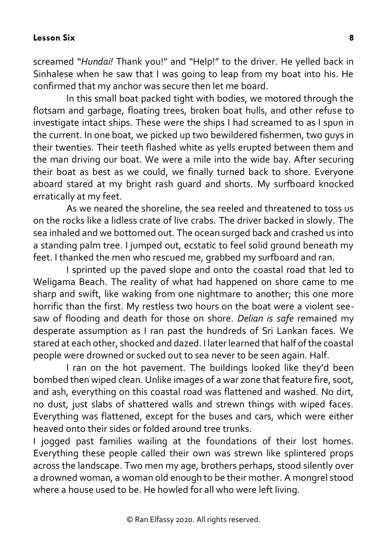screamed "*Hundai!* Thank you!" and "Help!" to the driver. He yelled back in Sinhalese when he saw that I was going to leap from my boat into his. He confirmed that my anchor was secure then let me board.

In this small boat packed tight with bodies, we motored through the flotsam and garbage, floating trees, broken boat hulls, and other refuse to investigate intact ships. These were the ships I had screamed to as I spun in the current. In one boat, we picked up two bewildered fishermen, two guys in their twenties. Their teeth flashed white as yells erupted between them and the man driving our boat. We were a mile into the wide bay. After securing their boat as best as we could, we finally turned back to shore. Everyone aboard stared at my bright rash guard and shorts. My surfboard knocked erratically at my feet.

As we neared the shoreline, the sea reeled and threatened to toss us on the rocks like a lidless crate of live crabs. The driver backed in slowly. The sea inhaled and we bottomed out. The ocean surged back and crashed us into a standing palm tree. I jumped out, ecstatic to feel solid ground beneath my feet. I thanked the men who rescued me, grabbed my surfboard and ran.

I sprinted up the paved slope and onto the coastal road that led to Weligama Beach. The reality of what had happened on shore came to me sharp and swift, like waking from one nightmare to another; this one more horrific than the first. My restless two hours on the boat were a violent seesaw of flooding and death for those on shore. *Delian is safe* remained my desperate assumption as I ran past the hundreds of Sri Lankan faces. We stared at each other, shocked and dazed. I later learned that half of the coastal people were drowned or sucked out to sea never to be seen again. Half.

I ran on the hot pavement. The buildings looked like they'd been bombed then wiped clean. Unlike images of a war zone that feature fire, soot, and ash, everything on this coastal road was flattened and washed. No dirt, no dust, just slabs of shattered walls and strewn things with wiped faces. Everything was flattened, except for the buses and cars, which were either heaved onto their sides or folded around tree trunks.

I jogged past families wailing at the foundations of their lost homes. Everything these people called their own was strewn like splintered props across the landscape. Two men my age, brothers perhaps, stood silently over a drowned woman, a woman old enough to be their mother. A mongrel stood where a house used to be. He howled for all who were left living.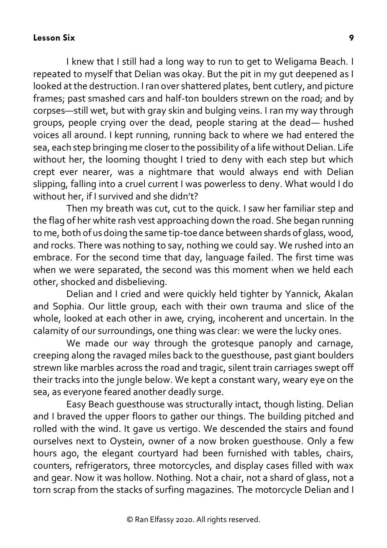I knew that I still had a long way to run to get to Weligama Beach. I repeated to myself that Delian was okay. But the pit in my gut deepened as I looked at the destruction. I ran over shattered plates, bent cutlery, and picture frames; past smashed cars and half-ton boulders strewn on the road; and by corpses—still wet, but with gray skin and bulging veins. I ran my way through groups, people crying over the dead, people staring at the dead— hushed voices all around. I kept running, running back to where we had entered the sea, each step bringing me closer to the possibility of a life without Delian. Life without her, the looming thought I tried to deny with each step but which crept ever nearer, was a nightmare that would always end with Delian slipping, falling into a cruel current I was powerless to deny. What would I do without her, if I survived and she didn't?

Then my breath was cut, cut to the quick. I saw her familiar step and the flag of her white rash vest approaching down the road. She began running to me, both of us doing the same tip-toe dance between shards of glass, wood, and rocks. There was nothing to say, nothing we could say. We rushed into an embrace. For the second time that day, language failed. The first time was when we were separated, the second was this moment when we held each other, shocked and disbelieving.

Delian and I cried and were quickly held tighter by Yannick, Akalan and Sophia. Our little group, each with their own trauma and slice of the whole, looked at each other in awe, crying, incoherent and uncertain. In the calamity of our surroundings, one thing was clear: we were the lucky ones.

We made our way through the grotesque panoply and carnage, creeping along the ravaged miles back to the guesthouse, past giant boulders strewn like marbles across the road and tragic, silent train carriages swept off their tracks into the jungle below. We kept a constant wary, weary eye on the sea, as everyone feared another deadly surge.

Easy Beach guesthouse was structurally intact, though listing. Delian and I braved the upper floors to gather our things. The building pitched and rolled with the wind. It gave us vertigo. We descended the stairs and found ourselves next to Oystein, owner of a now broken guesthouse. Only a few hours ago, the elegant courtyard had been furnished with tables, chairs, counters, refrigerators, three motorcycles, and display cases filled with wax and gear. Now it was hollow. Nothing. Not a chair, not a shard of glass, not a torn scrap from the stacks of surfing magazines. The motorcycle Delian and I